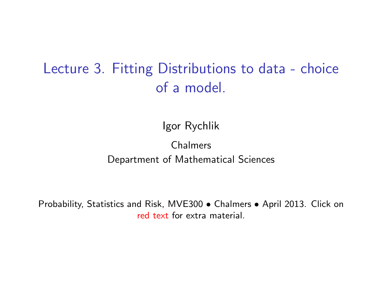# Lecture 3. Fitting Distributions to data - choice of a model.

Igor Rychlik

#### Chalmers Department of Mathematical Sciences

Probability, Statistics and Risk, MVE300 • Chalmers • April 2013. Click on [red text](http://www.math.chalmers.se/Stat/Grundutb/CTH/mve300/1112/) for extra material.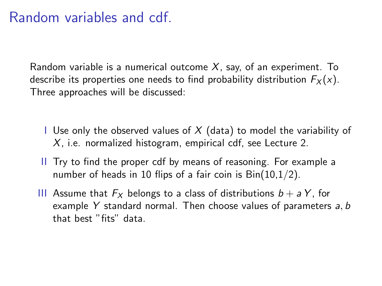# Random variables and cdf.

Random variable is a numerical outcome  $X$ , say, of an experiment. To describe its properties one needs to find probability distribution  $F_X(x)$ . Three approaches will be discussed:

- I Use only the observed values of  $X$  (data) to model the variability of X, i.e. normalized histogram, empirical cdf, see Lecture 2.
- II Try to find the proper cdf by means of reasoning. For example a number of heads in 10 flips of a fair coin is  $Bin(10,1/2)$ .
- III Assume that  $F_X$  belongs to a class of distributions  $b + aY$ , for example Y standard normal. Then choose values of parameters  $a, b$ that best "fits" data.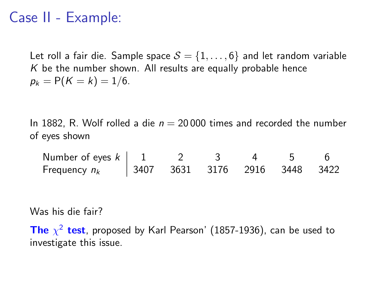# Case II - Example:

Let roll a fair die. Sample space  $S = \{1, \ldots, 6\}$  and let random variable  $K$  be the number shown. All results are equally probable hence  $p_k = P(K = k) = 1/6.$ 

In 1882, R. Wolf rolled a die  $n = 20000$  times and recorded the number of eyes shown

Number of eyes  $k \begin{pmatrix} 1 & 2 & 3 & 4 & 5 & 6 \end{pmatrix}$ Frequency  $n_k$  | 3407 3631 3176 2916 3448 3422

Was his die fair?

The  $\chi^2$  test, proposed by Karl Pearson' (1857-1936), can be used to investigate this issue.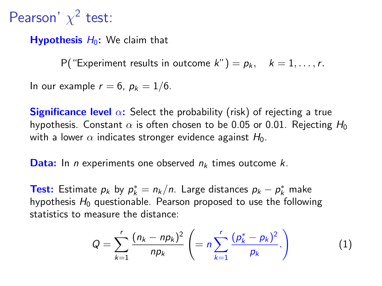# Pearson'  $\chi^2$  test:

**Hypothesis**  $H_0$ : We claim that

P("Experiment results in outcome  $k$ ") =  $p_k$ ,  $k = 1, ..., r$ .

In our example  $r = 6$ ,  $p_k = 1/6$ .

**Significance level**  $\alpha$ : Select the probability (risk) of rejecting a true hypothesis. Constant  $\alpha$  is often chosen to be 0.05 or 0.01. Rejecting  $H_0$ with a lower  $\alpha$  indicates stronger evidence against  $H_0$ .

**Data:** In *n* experiments one observed  $n_k$  times outcome k.

**Test:** Estimate  $p_k$  by  $p_k^* = n_k/n$ . Large distances  $p_k - p_k^*$  make hypothesis  $H_0$  questionable. Pearson proposed to use the following statistics to measure the distance:

$$
Q = \sum_{k=1}^{r} \frac{(n_k - np_k)^2}{np_k} \left( = n \sum_{k=1}^{r} \frac{(p_k^* - p_k)^2}{p_k} \right)
$$
 (1)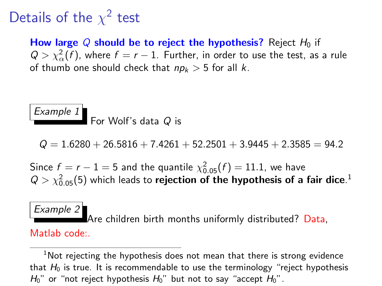# Details of the  $\chi^2$  test

How large Q should be to reject the hypothesis? Reject  $H_0$  if  $Q > \chi^2_\alpha(f)$ , where  $f = r - 1$ . Further, in order to use the test, as a rule of thumb one should check that  $np_k > 5$  for all k.

Example 1 For Wolf's data  $\it{Q}$  is

 $Q = 1.6280 + 26.5816 + 7.4261 + 52.2501 + 3.9445 + 2.3585 = 94.2$ 

Since  $f = r - 1 = 5$  and the quantile  $\chi_{0.05}^2(f) = 11.1$ , we have  $Q>\chi_{0.05}^2(5)$  which leads to **rejection of the hypothesis of a fair dice**.<sup>1</sup>

Example 2 Are children birth months uniformly distributed? Data, Matlab code:.

 $1$ Not reiecting the hypothesis does not mean that there is strong evidence that  $H_0$  is true. It is recommendable to use the terminology "reject hypothesis  $H_0$ " or "not reject hypothesis  $H_0$ " but not to say "accept  $H_0$ ".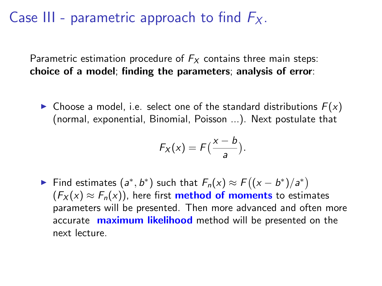# Case III - parametric approach to find  $F_X$ .

Parametric estimation procedure of  $F<sub>X</sub>$  contains three main steps: choice of a model; finding the parameters; analysis of error:

 $\triangleright$  Choose a model, i.e. select one of the standard distributions  $F(x)$ (normal, exponential, Binomial, Poisson ...). Next postulate that

$$
F_X(x) = F\left(\frac{x-b}{a}\right).
$$

Find estimates  $(a^*, b^*)$  such that  $F_n(x) \approx F((x - b^*)/a^*)$  $(F_X(x) \approx F_n(x))$ , here first **method of moments** to estimates parameters will be presented. Then more advanced and often more accurate **maximum likelihood** method will be presented on the next lecture.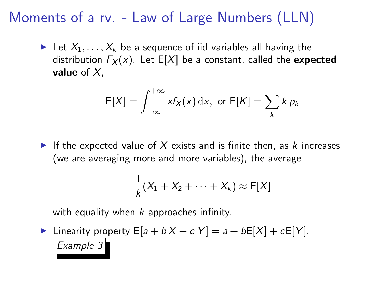# Moments of a rv. - Law of Large Numbers (LLN)

In Let  $X_1, \ldots, X_k$  be a sequence of iid variables all having the distribution  $F_X(x)$ . Let E[X] be a constant, called the **expected** value of  $X$ .

$$
E[X] = \int_{-\infty}^{+\infty} x f_X(x) dx, \text{ or } E[K] = \sum_k k p_k
$$

If the expected value of  $X$  exists and is finite then, as  $k$  increases (we are averaging more and more variables), the average

$$
\frac{1}{k}(X_1 + X_2 + \cdots + X_k) \approx E[X]
$$

with equality when  $k$  approaches infinity.

Inearity property  $E[a + bX + cY] = a + bE[X] + cE[Y]$ . Example 3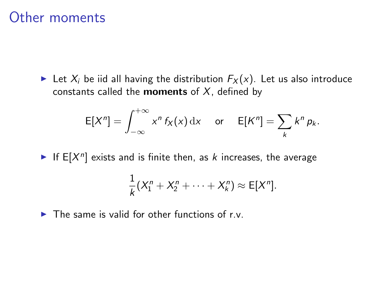#### Other moments

External Let  $X_i$  be iid all having the distribution  $F_X(x)$ . Let us also introduce constants called the **moments** of  $X$ , defined by

$$
E[Xn] = \int_{-\infty}^{+\infty} x^n f_X(x) dx \quad \text{or} \quad E[Kn] = \sum_k k^n p_k.
$$

If  $E[X^n]$  exists and is finite then, as k increases, the average

$$
\frac{1}{k}(X_1^n + X_2^n + \cdots + X_k^n) \approx E[X^n].
$$

 $\triangleright$  The same is valid for other functions of r.v.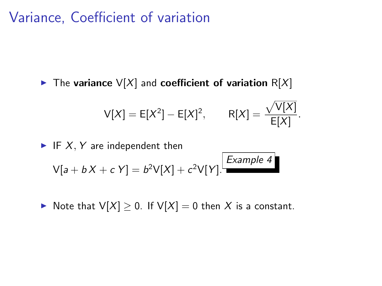### Variance, Coefficient of variation

 $\blacktriangleright$  The variance  $V[X]$  and coefficient of variation R[X]

$$
V[X] = E[X^2] - E[X]^2, \qquad R[X] = \frac{\sqrt{V[X]}}{E[X]}.
$$

 $\blacktriangleright$  IF X, Y are independent then  $V[a + bX + cY] = b^2V[X] + c^2V[Y].$ Example 4

▶ Note that  $V[X] \geq 0$ . If  $V[X] = 0$  then X is a constant.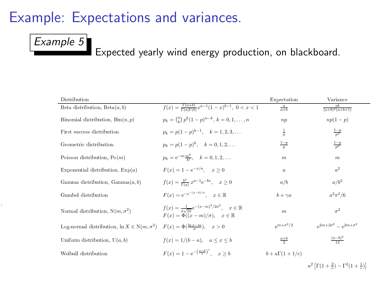# Example: Expectations and variances.

#### Example 5

1

Expected yearly wind energy production, on blackboard.

| Distribution                                        |                                                                                                                                          | Expectation             | Variance                                                                 |
|-----------------------------------------------------|------------------------------------------------------------------------------------------------------------------------------------------|-------------------------|--------------------------------------------------------------------------|
| Beta distribution, $Beta(a, b)$                     | $f(x) = \frac{\Gamma(a+b)}{\Gamma(a)\Gamma(b)} x^{a-1} (1-x)^{b-1}, \ 0 < x < 1$                                                         | $rac{a}{a+b}$           | $\frac{ab}{(a+b)^2(a+b+1)}$                                              |
| Binomial distribution, $\text{Bin}(n, p)$           | $p_k = \binom{n}{k} p^k (1-p)^{n-k}, k = 0, 1, \ldots, n$                                                                                | np                      | $np(1-p)$                                                                |
| First success distribution                          | $p_k = p(1-p)^{k-1}, \quad k = 1, 2, 3, \ldots$                                                                                          | $rac{1}{p}$             | $rac{1-p}{p^2}$                                                          |
| Geometric distribution                              | $p_k = p(1-p)^k$ , $k = 0, 1, 2, $                                                                                                       | $rac{1-p}{p}$           | $rac{1-p}{p^2}$                                                          |
| Poisson distribution, $Po(m)$                       | $p_k = e^{-m \frac{m^k}{L!}}, \quad k = 0, 1, 2, $                                                                                       | $\boldsymbol{m}$        | $\boldsymbol{m}$                                                         |
| Exponential distribution, $Exp(a)$                  | $F(x) = 1 - e^{-x/a}, \quad x > 0$                                                                                                       | $\boldsymbol{a}$        | a <sup>2</sup>                                                           |
| Gamma distribution, Gamma $(a, b)$                  | $f(x) = \frac{b^a}{\Gamma(a)} x^{a-1} e^{-bx}, \quad x \ge 0$                                                                            | a/b                     | $a/b^2$                                                                  |
| Gumbel distribution                                 | $F(x) = e^{-e^{-(x-b)/a}}$ , $x \in \mathbb{R}$                                                                                          | $b + \gamma a$          | $a^2\pi^2/6$                                                             |
| Normal distribution, $N(m, \sigma^2)$               | $f(x) = \frac{1}{\pi \sqrt{2\pi}} e^{-(x-m)^2/2\sigma^2}, \quad x \in \mathbb{R}$<br>$F(x) = \Phi((x-m)/\sigma), \quad x \in \mathbb{R}$ | $\boldsymbol{m}$        | $\sigma^2$                                                               |
| Log-normal distribution, $\ln X \in N(m, \sigma^2)$ | $F(x) = \Phi(\frac{\ln x - m}{x}), \quad x > 0$                                                                                          | $\sigma^{m+\sigma^2/2}$ | $e^{2m+2\sigma^2} = e^{2m+\sigma^2}$                                     |
| Uniform distribution, $U(a, b)$                     | $f(x) = 1/(b - a), \quad a \leq x \leq b$                                                                                                | $rac{a+b}{2}$           | $\frac{(a-b)^2}{12}$                                                     |
| Weibull distribution                                | $F(x) = 1 - e^{-\left(\frac{x-b}{a}\right)^c}$ $x > b$                                                                                   | $b + a\Gamma(1 + 1/c)$  |                                                                          |
|                                                     |                                                                                                                                          |                         | $a^2 \left[ \Gamma(1 + \frac{2}{3}) - \Gamma^2(1 + \frac{1}{3}) \right]$ |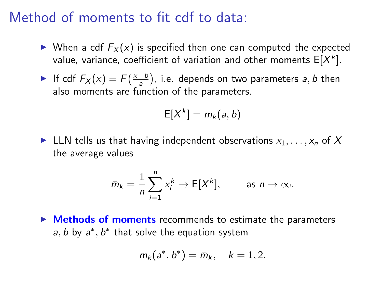#### Method of moments to fit cdf to data:

- $\triangleright$  When a cdf  $F_X(x)$  is specified then one can computed the expected value, variance, coefficient of variation and other moments  $\mathsf{E}[X^k].$
- If cdf  $F_X(x) = F(\frac{x-b}{a})$ , i.e. depends on two parameters a, b then also moments are function of the parameters.

$$
E[X^k]=m_k(a,b)
$$

In LLN tells us that having independent observations  $x_1, \ldots, x_n$  of X the average values

$$
\bar{m}_k = \frac{1}{n} \sum_{i=1}^n x_i^k \to \mathsf{E}[X^k], \quad \text{as } n \to \infty.
$$

 $\triangleright$  Methods of moments recommends to estimate the parameters  $a, b$  by  $a^*, b^*$  that solve the equation system

$$
m_k(a^*,b^*) = \bar{m}_k, \quad k = 1,2.
$$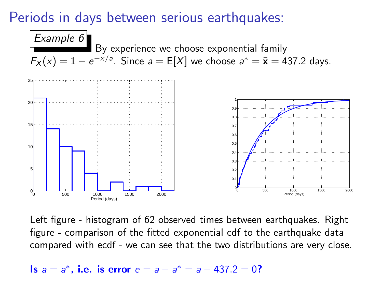## Periods in days between serious earthquakes:



Left figure - histogram of 62 observed times between earthquakes. Right figure - comparison of the fitted exponential cdf to the earthquake data compared with ecdf - we can see that the two distributions are very close.

Is  $a = a^*$ , i.e. is error  $e = a - a^* = a - 437.2 = 0$ ?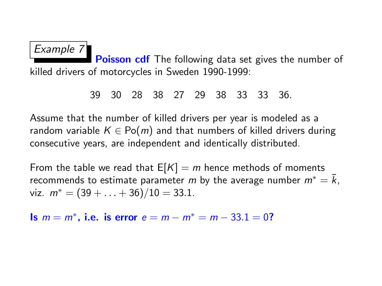Example 7 Poisson cdf The following data set gives the number of killed drivers of motorcycles in Sweden 1990-1999:

39 30 28 38 27 29 38 33 33 36.

Assume that the number of killed drivers per year is modeled as a random variable  $K \in Po(m)$  and that numbers of killed drivers during consecutive years, are independent and identically distributed.

From the table we read that  $E[K] = m$  hence methods of moments recommends to estimate parameter m by the average number  $m^* = \overline{k}$ , viz.  $m^* = (39 + \ldots + 36)/10 = 33.1$ .

Is  $m = m^*$ , i.e. is error  $e = m - m^* = m - 33.1 = 0$ ?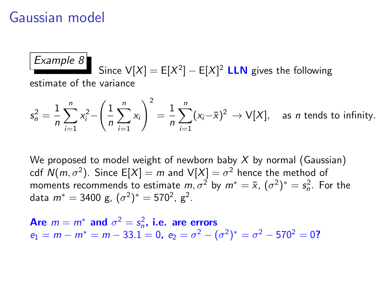#### Gaussian model

#### Example 8 Since  $V[X] = E[X^2] - E[X]^2$  **LLN** gives the following estimate of the variance

$$
s_n^2 = \frac{1}{n} \sum_{i=1}^n x_i^2 - \left(\frac{1}{n} \sum_{i=1}^n x_i\right)^2 = \frac{1}{n} \sum_{i=1}^n (x_i - \bar{x})^2 \to V[X], \text{ as } n \text{ tends to infinity.}
$$

We proposed to model weight of newborn baby  $X$  by normal (Gaussian) cdf  $\mathcal{N}(m,\sigma^2).$  Since  $\mathsf{E}[X]=m$  and  $\mathsf{V}[X]=\sigma^2$  hence the method of moments recommends to estimate  $m, \sigma^2$  by  $m^* = \bar{x}, (\sigma^2)^* = s_n^2$ . For the data  $m^*=3400$  g,  $(\sigma^2)^*=570^2$ , g $^2$ .

Are  $m = m^*$  and  $\sigma^2 = s_n^2$ , i.e. are errors  $e_1 = m - m^* = m - 33.1 = 0$ ,  $e_2 = \sigma^2 - (\sigma^2)^* = \sigma^2 - 570^2 = 0$ ?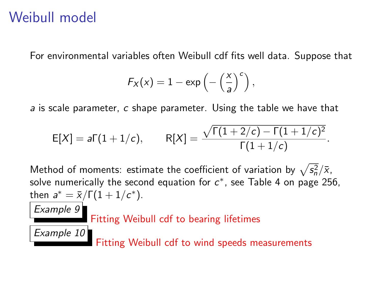# Weibull model

Example 9

Example 10

For environmental variables often Weibull cdf fits well data. Suppose that

$$
F_X(x) = 1 - \exp\left(-\left(\frac{x}{a}\right)^c\right),
$$

a is scale parameter, c shape parameter. Using the table we have that

$$
E[X] = a\Gamma(1+1/c), \qquad R[X] = \frac{\sqrt{\Gamma(1+2/c) - \Gamma(1+1/c)^2}}{\Gamma(1+1/c)}.
$$

Method of moments: estimate the coefficient of variation by  $\sqrt{s_n^2}/\bar{x}$ , solve numerically the second equation for  $c^*$ , see Table 4 on page 256, then  $a^* = \bar{x}/\Gamma(1 + 1/c^*)$ .

Fitting Weibull cdf to bearing lifetimes

Fitting Weibull cdf to wind speeds measurements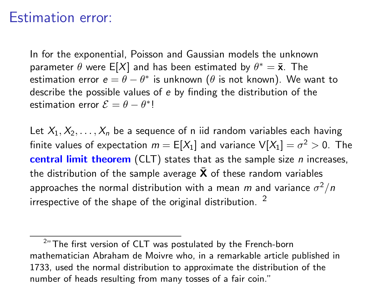#### Estimation error:

In for the exponential, Poisson and Gaussian models the unknown parameter  $\theta$  were E[X] and has been estimated by  $\theta^* = \bar{\mathbf{x}}$ . The estimation error  $e = \theta - \theta^*$  is unknown ( $\theta$  is not known). We want to describe the possible values of e by finding the distribution of the estimation error  $\mathcal{E} = \theta - \theta^*!$ 

Let  $X_1, X_2, \ldots, X_n$  be a sequence of n iid random variables each having finite values of expectation  $m=\mathsf{E}[X_1]$  and variance  $\mathsf{V}[X_1]=\sigma^2>0.$  The **central limit theorem** (CLT) states that as the sample size *n* increases, the distribution of the sample average  $\bar{X}$  of these random variables approaches the normal distribution with a mean  $m$  and variance  $\sigma^2/n$ irrespective of the shape of the original distribution.  $2$ 

 $^{2}$ " The first version of CLT was postulated by the French-born mathematician Abraham de Moivre who, in a remarkable article published in 1733, used the normal distribution to approximate the distribution of the number of heads resulting from many tosses of a fair coin."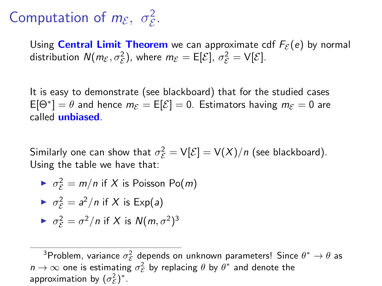#### Computation of  $m_{\mathcal{E}}, \sigma_{\mathcal{E}}^2$ . E

Using **Central Limit Theorem** we can approximate cdf  $F_{\mathcal{E}}(e)$  by normal distribution  $N(m_{\mathcal{E}}, \sigma_{\mathcal{E}}^2)$ , where  $m_{\mathcal{E}} = \mathsf{E}[\mathcal{E}], \sigma_{\mathcal{E}}^2 = \mathsf{V}[\mathcal{E}].$ 

It is easy to demonstrate (see blackboard) that for the studied cases  $\mathsf{E}[\Theta^*] = \theta$  and hence  $m_{\mathcal{E}} = \mathsf{E}[\mathcal{E}] = 0$ . Estimators having  $m_{\mathcal{E}} = 0$  are called unbiased.

Similarly one can show that  $\sigma_{\mathcal{E}}^2 = \mathsf{V}[\mathcal{E}] = \mathsf{V}(X)/n$  (see blackboard). Using the table we have that:

$$
\blacktriangleright \sigma_{\mathcal{E}}^2 = m/n \text{ if } X \text{ is Poisson Po}(m)
$$

$$
\blacktriangleright \sigma_{\mathcal{E}}^2 = a^2/n \text{ if } X \text{ is } \text{Exp}(a)
$$

$$
\blacktriangleright \sigma_{\mathcal{E}}^2 = \sigma^2 / n \text{ if } X \text{ is } N(m, \sigma^2)^3
$$

<sup>&</sup>lt;sup>3</sup>Problem, variance  $\sigma_{\mathcal{E}}^2$  depends on unknown parameters! Since  $\theta^* \to \theta$  as  $n \to \infty$  one is estimating  $\sigma_{\mathcal{E}}^2$  by replacing  $\theta$  by  $\theta^*$  and denote the approximation by  $(\sigma_{\mathcal{E}}^2)^*$ .